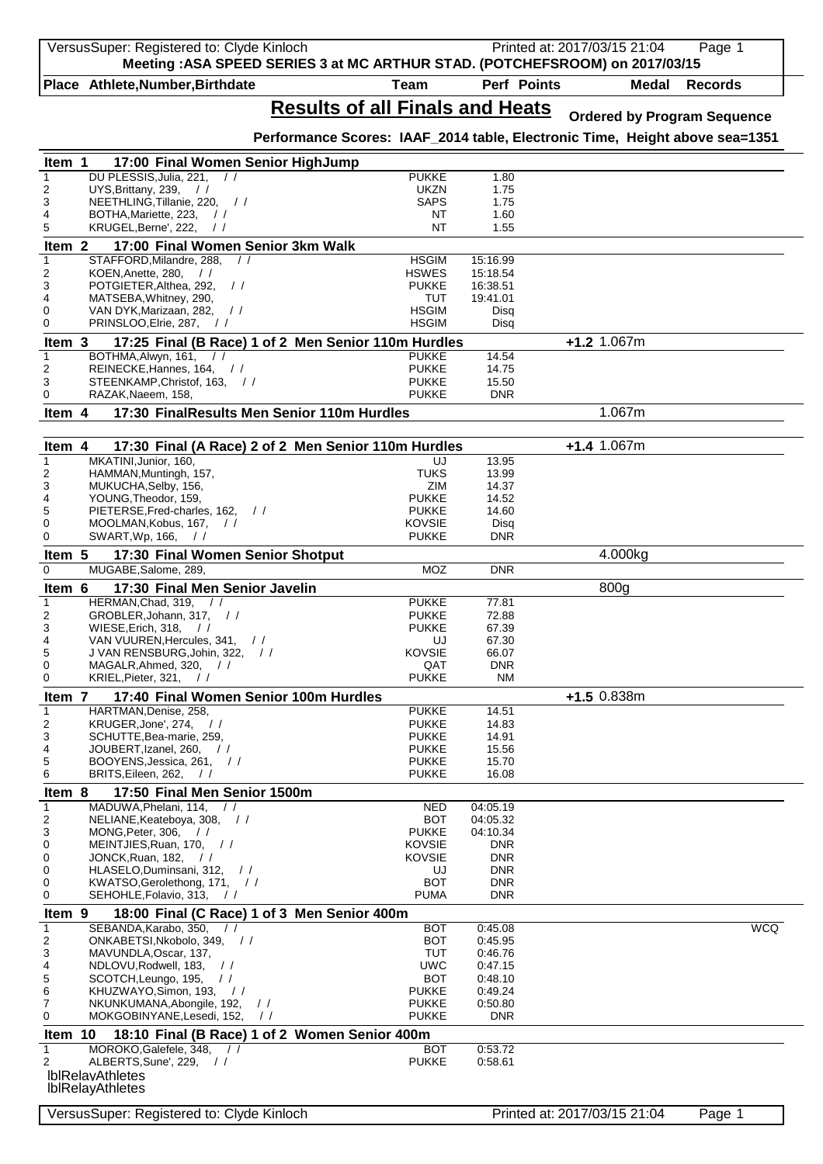| VersusSuper: Registered to: Clyde Kinloch                                                       | Meeting: ASA SPEED SERIES 3 at MC ARTHUR STAD. (POTCHEFSROOM) on 2017/03/15 |                        | Printed at: 2017/03/15 21:04 |                  |              | Page 1                             |
|-------------------------------------------------------------------------------------------------|-----------------------------------------------------------------------------|------------------------|------------------------------|------------------|--------------|------------------------------------|
| Place Athlete, Number, Birthdate                                                                | <b>Team</b>                                                                 |                        | Perf Points                  |                  | <b>Medal</b> | <b>Records</b>                     |
|                                                                                                 | <b>Results of all Finals and Heats</b>                                      |                        |                              |                  |              | <b>Ordered by Program Sequence</b> |
|                                                                                                 | Performance Scores: IAAF_2014 table, Electronic Time, Height above sea=1351 |                        |                              |                  |              |                                    |
| Item 1<br>17:00 Final Women Senior HighJump<br>DU PLESSIS, Julia, 221,<br>$\prime$              | <b>PUKKE</b>                                                                |                        |                              |                  |              |                                    |
| UYS, Brittany, 239,<br>$\frac{1}{2}$                                                            |                                                                             | UKZN                   | 1.80<br>1.75                 |                  |              |                                    |
| 2<br>NEETHLING, Tillanie, 220, //<br>3                                                          |                                                                             | <b>SAPS</b>            | 1.75                         |                  |              |                                    |
| BOTHA, Mariette, 223,<br>$\frac{1}{2}$                                                          |                                                                             | NT                     | 1.60                         |                  |              |                                    |
| KRUGEL, Berne', 222,<br>$\frac{1}{2}$                                                           |                                                                             | NT                     | 1.55                         |                  |              |                                    |
| 17:00 Final Women Senior 3km Walk<br>Item <sub>2</sub>                                          |                                                                             |                        |                              |                  |              |                                    |
| STAFFORD, Milandre, 288,<br>KOEN, Anette, 280,<br>$\frac{1}{2}$                                 | <b>HSGIM</b><br><b>HSWES</b>                                                | 15:16.99<br>15:18.54   |                              |                  |              |                                    |
| POTGIETER, Althea, 292,<br>$\frac{1}{2}$                                                        | <b>PUKKE</b>                                                                | 16:38.51               |                              |                  |              |                                    |
| MATSEBA, Whitney, 290,                                                                          |                                                                             | <b>TUT</b><br>19:41.01 |                              |                  |              |                                    |
| VAN DYK, Marizaan, 282,<br>$\frac{1}{2}$                                                        | <b>HSGIM</b>                                                                |                        | Disq                         |                  |              |                                    |
| PRINSLOO, Elrie, 287,<br>$\frac{1}{2}$                                                          | <b>HSGIM</b>                                                                |                        | Disq                         |                  |              |                                    |
| Item 3                                                                                          | 17:25 Final (B Race) 1 of 2 Men Senior 110m Hurdles                         |                        |                              | $+1.2$ 1.067m    |              |                                    |
| BOTHMA.Alwyn. 161.<br>$\frac{1}{2}$<br>REINECKE, Hannes, 164, //                                | <b>PUKKE</b><br><b>PUKKE</b>                                                |                        | 14.54<br>14.75               |                  |              |                                    |
| 2<br>3<br>STEENKAMP, Christof, 163, //                                                          | <b>PUKKE</b>                                                                |                        | 15.50                        |                  |              |                                    |
| RAZAK, Naeem, 158,                                                                              | <b>PUKKE</b>                                                                |                        | <b>DNR</b>                   |                  |              |                                    |
| 17:30 FinalResults Men Senior 110m Hurdles<br>Item 4                                            |                                                                             |                        |                              | 1.067m           |              |                                    |
| Item 4                                                                                          | 17:30 Final (A Race) 2 of 2 Men Senior 110m Hurdles                         |                        |                              | +1.4 1.067m      |              |                                    |
| MKATINI, Junior, 160,                                                                           |                                                                             | UJ                     | 13.95                        |                  |              |                                    |
| HAMMAN, Muntingh, 157,                                                                          |                                                                             | <b>TUKS</b>            | 13.99                        |                  |              |                                    |
| MUKUCHA, Selby, 156,                                                                            |                                                                             | ZIM                    | 14.37                        |                  |              |                                    |
| YOUNG, Theodor, 159,<br>PIETERSE, Fred-charles, 162,                                            | <b>PUKKE</b><br><b>PUKKE</b>                                                |                        | 14.52<br>14.60               |                  |              |                                    |
| $\frac{1}{2}$<br>MOOLMAN, Kobus, 167,<br>$\frac{1}{2}$                                          | <b>KOVSIE</b>                                                               |                        | Disq                         |                  |              |                                    |
| SWART, Wp, 166,<br>$\frac{1}{2}$                                                                | <b>PUKKE</b>                                                                |                        | <b>DNR</b>                   |                  |              |                                    |
| 17:30 Final Women Senior Shotput<br>Item 5                                                      |                                                                             |                        |                              | 4.000kg          |              |                                    |
| MUGABE, Salome, 289,                                                                            |                                                                             | MOZ                    | <b>DNR</b>                   |                  |              |                                    |
| Item 6<br>17:30 Final Men Senior Javelin                                                        |                                                                             |                        |                              | 800 <sub>g</sub> |              |                                    |
| HERMAN, Chad, 319,<br>$\frac{1}{2}$<br>GROBLER, Johann, 317, //                                 | <b>PUKKE</b><br><b>PUKKE</b>                                                |                        | 77.81                        |                  |              |                                    |
| WIESE, Erich, 318,<br>$\frac{1}{2}$                                                             | <b>PUKKE</b>                                                                |                        | 72.88<br>67.39               |                  |              |                                    |
| VAN VUUREN, Hercules, 341,<br>$\frac{1}{2}$                                                     |                                                                             | UJ                     | 67.30                        |                  |              |                                    |
| J VAN RENSBURG, Johin, 322,<br>$\frac{1}{2}$                                                    | <b>KOVSIE</b>                                                               |                        | 66.07                        |                  |              |                                    |
| 0<br>MAGALR, Ahmed, 320,<br>$\frac{1}{2}$<br>KRIEL, Pieter, 321, //<br>0                        | <b>PUKKE</b>                                                                | QAT                    | <b>DNR</b><br>ΝM             |                  |              |                                    |
| 17:40 Final Women Senior 100m Hurdles<br>Item 7                                                 |                                                                             |                        |                              | $+1.5$ 0.838m    |              |                                    |
| HARTMAN, Denise, 258,                                                                           | <b>PUKKE</b>                                                                |                        | 14.51                        |                  |              |                                    |
| KRUGER, Jone', 274,<br>$\frac{1}{2}$                                                            | <b>PUKKE</b>                                                                |                        | 14.83                        |                  |              |                                    |
| SCHUTTE, Bea-marie, 259,                                                                        | <b>PUKKE</b>                                                                |                        | 14.91                        |                  |              |                                    |
| JOUBERT, Izanel, 260,<br>$\frac{1}{2}$                                                          | <b>PUKKE</b>                                                                |                        | 15.56                        |                  |              |                                    |
| BOOYENS, Jessica, 261, //<br>BRITS, Eileen, 262,<br>$\frac{1}{2}$                               | <b>PUKKE</b><br><b>PUKKE</b>                                                |                        | 15.70<br>16.08               |                  |              |                                    |
| 17:50 Final Men Senior 1500m<br>Item 8                                                          |                                                                             |                        |                              |                  |              |                                    |
| MADUWA, Phelani, 114,<br>$\frac{1}{2}$                                                          |                                                                             | <b>NED</b><br>04:05.19 |                              |                  |              |                                    |
| 2<br>NELIANE, Keateboya, 308, //                                                                |                                                                             | <b>BOT</b><br>04:05.32 |                              |                  |              |                                    |
| MONG, Peter, 306,<br>$\frac{1}{2}$                                                              | <b>PUKKE</b>                                                                | 04:10.34               |                              |                  |              |                                    |
| MEINTJIES, Ruan, 170, //                                                                        | <b>KOVSIE</b>                                                               |                        | DNR                          |                  |              |                                    |
| JONCK, Ruan, 182,<br>$\prime$<br>HLASELO, Duminsani, 312,<br>$\frac{1}{2}$                      | <b>KOVSIE</b>                                                               | UJ                     | <b>DNR</b><br><b>DNR</b>     |                  |              |                                    |
| 0<br>KWATSO, Gerolethong, 171, //<br>0                                                          |                                                                             | <b>BOT</b>             | <b>DNR</b>                   |                  |              |                                    |
| SEHOHLE, Folavio, 313,<br>0<br>$\frac{1}{2}$                                                    |                                                                             | <b>PUMA</b>            | <b>DNR</b>                   |                  |              |                                    |
| 18:00 Final (C Race) 1 of 3 Men Senior 400m<br>Item 9<br>SEBANDA, Karabo, 350,                  |                                                                             |                        |                              |                  |              | <b>WCQ</b>                         |
| $\prime$<br>ONKABETSI, Nkobolo, 349,<br>$\frac{1}{2}$                                           |                                                                             | <b>BOT</b><br>BOT      | 0:45.08<br>0:45.95           |                  |              |                                    |
| MAVUNDLA, Oscar, 137,                                                                           |                                                                             | <b>TUT</b>             | 0:46.76                      |                  |              |                                    |
| NDLOVU, Rodwell, 183,<br>$\frac{1}{2}$                                                          |                                                                             | UWC                    | 0:47.15                      |                  |              |                                    |
| SCOTCH, Leungo, 195,<br>$\frac{1}{2}$                                                           |                                                                             | <b>BOT</b>             | 0:48.10                      |                  |              |                                    |
| KHUZWAYO, Simon, 193,<br>6<br>$\frac{1}{2}$<br>NKUNKUMANA, Abongile, 192,<br>7<br>$\frac{1}{2}$ | <b>PUKKE</b><br><b>PUKKE</b>                                                |                        | 0:49.24<br>0:50.80           |                  |              |                                    |
| MOKGOBINYANE, Lesedi, 152,<br>0                                                                 | $\frac{1}{2}$<br><b>PUKKE</b>                                               |                        | <b>DNR</b>                   |                  |              |                                    |
| Item 10                                                                                         | 18:10 Final (B Race) 1 of 2 Women Senior 400m                               |                        |                              |                  |              |                                    |
| MOROKO, Galefele, 348,<br>$\mathbf{1}$<br>$\frac{1}{2}$                                         |                                                                             | BOT                    | 0:53.72                      |                  |              |                                    |
| ALBERTS, Sune', 229, //<br>2                                                                    | <b>PUKKE</b>                                                                |                        | 0:58.61                      |                  |              |                                    |
| <b>IblRelavAthletes</b><br><b>IblRelayAthletes</b>                                              |                                                                             |                        |                              |                  |              |                                    |
|                                                                                                 |                                                                             |                        |                              |                  |              |                                    |
| VersusSuper: Registered to: Clyde Kinloch                                                       |                                                                             |                        | Printed at: 2017/03/15 21:04 |                  |              | Page 1                             |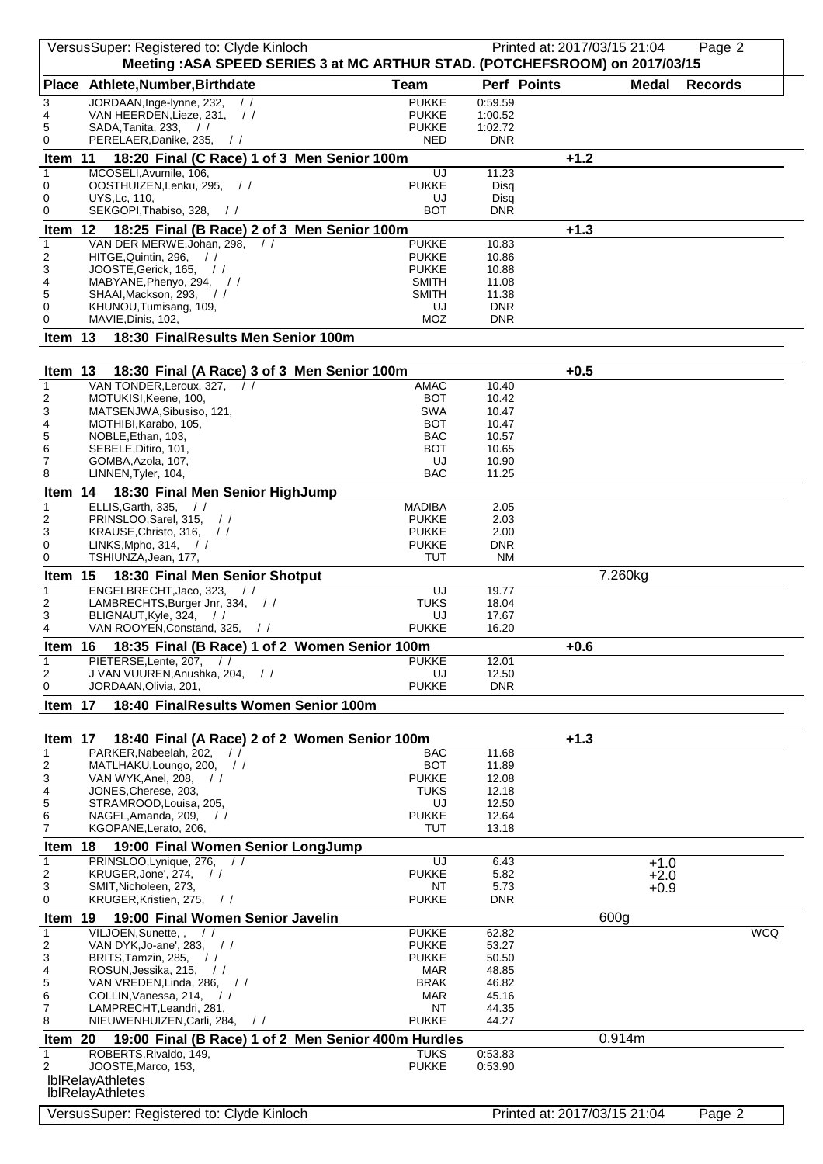|                   | VersusSuper: Registered to: Clyde Kinloch                                               |                              |                     | Printed at: 2017/03/15 21:04 | Page 2         |
|-------------------|-----------------------------------------------------------------------------------------|------------------------------|---------------------|------------------------------|----------------|
|                   | Meeting : ASA SPEED SERIES 3 at MC ARTHUR STAD. (POTCHEFSROOM) on 2017/03/15            |                              |                     |                              |                |
|                   | Place Athlete, Number, Birthdate                                                        | <b>Team</b>                  | Perf Points         | <b>Medal</b>                 | <b>Records</b> |
| 3<br>4            | JORDAAN, Inge-lynne, 232,<br>$\frac{1}{2}$<br>VAN HEERDEN, Lieze, 231,<br>$\frac{1}{2}$ | <b>PUKKE</b><br><b>PUKKE</b> | 0:59.59<br>1:00.52  |                              |                |
| 5                 | SADA, Tanita, 233,<br>$\prime$                                                          | <b>PUKKE</b>                 | 1:02.72             |                              |                |
| 0                 | PERELAER, Danike, 235,<br>$\frac{1}{2}$                                                 | <b>NED</b>                   | <b>DNR</b>          |                              |                |
| Item 11           | 18:20 Final (C Race) 1 of 3 Men Senior 100m                                             |                              |                     | $+1.2$                       |                |
| $\mathbf{1}$<br>0 | MCOSELI, Avumile, 106,<br>OOSTHUIZEN, Lenku, 295,<br>$\frac{1}{2}$                      | UJ<br><b>PUKKE</b>           | 11.23<br>Disq       |                              |                |
| 0                 | <b>UYS.Lc. 110.</b>                                                                     | UJ                           | Disq                |                              |                |
| 0                 | SEKGOPI, Thabiso, 328,<br>$\frac{1}{2}$                                                 | <b>BOT</b>                   | <b>DNR</b>          |                              |                |
| Item 12           | 18:25 Final (B Race) 2 of 3 Men Senior 100m                                             |                              |                     | $+1.3$                       |                |
| $\mathbf{1}$<br>2 | VAN DER MERWE, Johan, 298,<br>$\frac{1}{2}$<br>HITGE, Quintin, 296, //                  | <b>PUKKE</b><br><b>PUKKE</b> | 10.83<br>10.86      |                              |                |
| 3                 | JOOSTE, Gerick, 165, //                                                                 | <b>PUKKE</b>                 | 10.88               |                              |                |
| 4                 | MABYANE, Phenyo, 294, //                                                                | <b>SMITH</b>                 | 11.08               |                              |                |
| 5<br>0            | SHAAI, Mackson, 293,<br>$\frac{1}{2}$<br>KHUNOU, Tumisang, 109,                         | <b>SMITH</b><br>UJ           | 11.38<br><b>DNR</b> |                              |                |
| 0                 | MAVIE, Dinis, 102,                                                                      | MOZ                          | <b>DNR</b>          |                              |                |
| Item 13           | 18:30 FinalResults Men Senior 100m                                                      |                              |                     |                              |                |
|                   |                                                                                         |                              |                     |                              |                |
| Item 13           | 18:30 Final (A Race) 3 of 3 Men Senior 100m                                             |                              |                     | $+0.5$                       |                |
| $\mathbf{1}$      | VAN TONDER, Leroux, 327,<br>$\prime$                                                    | <b>AMAC</b>                  | 10.40               |                              |                |
| 2<br>3            | MOTUKISI, Keene, 100,<br>MATSENJWA, Sibusiso, 121,                                      | <b>BOT</b><br><b>SWA</b>     | 10.42<br>10.47      |                              |                |
| 4                 | MOTHIBI, Karabo, 105,                                                                   | <b>BOT</b>                   | 10.47               |                              |                |
| 5<br>6            | NOBLE, Ethan, 103,<br>SEBELE, Ditiro, 101,                                              | <b>BAC</b><br>BOT            | 10.57<br>10.65      |                              |                |
| 7                 | GOMBA, Azola, 107,                                                                      | UJ                           | 10.90               |                              |                |
| 8                 | LINNEN, Tyler, 104,                                                                     | <b>BAC</b>                   | 11.25               |                              |                |
| Item 14           | 18:30 Final Men Senior HighJump                                                         |                              |                     |                              |                |
| $\mathbf{1}$      | ELLIS, Garth, 335,                                                                      | <b>MADIBA</b>                | 2.05                |                              |                |
| 2<br>3            | PRINSLOO, Sarel, 315, //<br>KRAUSE, Christo, 316,<br>$\frac{1}{2}$                      | <b>PUKKE</b><br><b>PUKKE</b> | 2.03<br>2.00        |                              |                |
| 0                 | LINKS, Mpho, 314,<br>$\frac{1}{2}$                                                      | <b>PUKKE</b>                 | DNR.                |                              |                |
| $\mathbf 0$       | TSHIUNZA, Jean, 177,                                                                    | TUT                          | <b>NM</b>           |                              |                |
| Item 15           | 18:30 Final Men Senior Shotput                                                          |                              |                     | 7.260kg                      |                |
| $\mathbf{1}$<br>2 | ENGELBRECHT, Jaco, 323,<br>LAMBRECHTS, Burger Jnr, 334, //                              | UJ<br>TUKS                   | 19.77<br>18.04      |                              |                |
| 3                 | BLIGNAUT, Kyle, 324,<br>$\frac{1}{2}$                                                   | UJ                           | 17.67               |                              |                |
| 4                 | VAN ROOYEN, Constand, 325,<br>$\frac{1}{2}$                                             | <b>PUKKE</b>                 | 16.20               |                              |                |
| Item 16           | 18:35 Final (B Race) 1 of 2 Women Senior 100m                                           |                              |                     | $+0.6$                       |                |
| 1<br>2            | PIETERSE, Lente, 207, //<br>J VAN VUUREN, Anushka, 204,<br>$\frac{1}{2}$                | <b>PUKKE</b><br>UJ           | 12.01<br>12.50      |                              |                |
| 0                 | JORDAAN, Olivia, 201,                                                                   | <b>PUKKE</b>                 | <b>DNR</b>          |                              |                |
| Item 17           | 18:40 FinalResults Women Senior 100m                                                    |                              |                     |                              |                |
|                   |                                                                                         |                              |                     |                              |                |
| Item 17           | 18:40 Final (A Race) 2 of 2 Women Senior 100m                                           |                              |                     | $+1.3$                       |                |
| $\mathbf{1}$      | PARKER, Nabeelah, 202,<br>$\prime$ /                                                    | BAC                          | 11.68               |                              |                |
| 2<br>3            | MATLHAKU, Loungo, 200,<br>$\frac{1}{2}$<br>VAN WYK, Anel, 208,<br>$\frac{1}{2}$         | <b>BOT</b><br><b>PUKKE</b>   | 11.89<br>12.08      |                              |                |
| 4                 | JONES, Cherese, 203,                                                                    | <b>TUKS</b>                  | 12.18               |                              |                |
| 5<br>6            | STRAMROOD, Louisa, 205,<br>NAGEL, Amanda, 209,<br>$\frac{1}{2}$                         | UJ<br><b>PUKKE</b>           | 12.50<br>12.64      |                              |                |
| 7                 | KGOPANE, Lerato, 206,                                                                   | <b>TUT</b>                   | 13.18               |                              |                |
| Item 18           | 19:00 Final Women Senior LongJump                                                       |                              |                     |                              |                |
| $\mathbf{1}$      | PRINSLOO, Lynique, 276,                                                                 | UJ                           | 6.43                | $+1.0$                       |                |
| 2                 | KRUGER, Jone', 274, //                                                                  | <b>PUKKE</b>                 | 5.82                | $+2.0$                       |                |
| 3<br>0            | SMIT, Nicholeen, 273,<br>KRUGER, Kristien, 275,<br>$\frac{1}{2}$                        | NΤ<br><b>PUKKE</b>           | 5.73<br>DNR         | $+0.9$                       |                |
| Item 19           | 19:00 Final Women Senior Javelin                                                        |                              |                     | 600g                         |                |
| $\mathbf{1}$      | VILJOEN, Sunette, ,<br>$\frac{1}{2}$                                                    | <b>PUKKE</b>                 | 62.82               |                              | <b>WCQ</b>     |
| 2                 | VAN DYK, Jo-ane', 283,<br>$\frac{1}{2}$                                                 | <b>PUKKE</b>                 | 53.27               |                              |                |
| 3<br>4            | BRITS, Tamzin, 285,<br>$\frac{1}{2}$<br>ROSUN, Jessika, 215, //                         | <b>PUKKE</b><br><b>MAR</b>   | 50.50<br>48.85      |                              |                |
| 5                 | VAN VREDEN, Linda, 286, //                                                              | BRAK                         | 46.82               |                              |                |
| 6                 | COLLIN, Vanessa, 214,<br>$\frac{1}{2}$                                                  | <b>MAR</b>                   | 45.16               |                              |                |
| 7<br>8            | LAMPRECHT, Leandri, 281,<br>NIEUWENHUIZEN, Carli, 284,<br>$\frac{1}{2}$                 | NT<br><b>PUKKE</b>           | 44.35<br>44.27      |                              |                |
| Item 20           | 19:00 Final (B Race) 1 of 2 Men Senior 400m Hurdles                                     |                              |                     | 0.914m                       |                |
| 1                 | ROBERTS, Rivaldo, 149,                                                                  | <b>TUKS</b>                  | 0:53.83             |                              |                |
| 2                 | JOOSTE, Marco, 153,                                                                     | <b>PUKKE</b>                 | 0:53.90             |                              |                |
|                   | <b>IblRelavAthletes</b><br><b>IblRelayAthletes</b>                                      |                              |                     |                              |                |
|                   |                                                                                         |                              |                     |                              |                |
|                   | VersusSuper: Registered to: Clyde Kinloch                                               |                              |                     | Printed at: 2017/03/15 21:04 | Page 2         |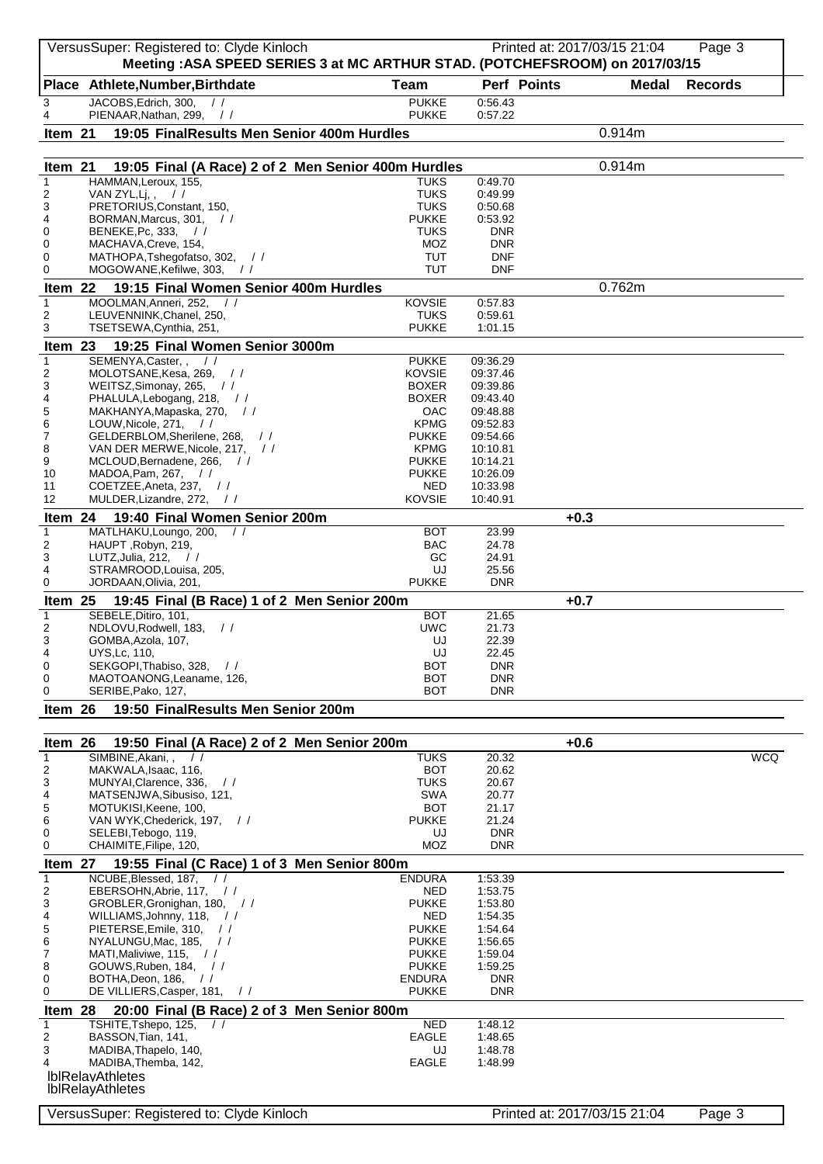|                         | VersusSuper: Registered to: Clyde Kinloch<br>Meeting: ASA SPEED SERIES 3 at MC ARTHUR STAD. (POTCHEFSROOM) on 2017/03/15 |                              |                          | Printed at: 2017/03/15 21:04 | Page 3         |
|-------------------------|--------------------------------------------------------------------------------------------------------------------------|------------------------------|--------------------------|------------------------------|----------------|
|                         | Place Athlete, Number, Birthdate                                                                                         | Team                         | Perf Points              | <b>Medal</b>                 | <b>Records</b> |
| 3<br>4                  | JACOBS, Edrich, 300, //<br>PIENAAR, Nathan, 299, //                                                                      | <b>PUKKE</b><br><b>PUKKE</b> | 0:56.43<br>0:57.22       |                              |                |
| Item 21                 | 19:05 FinalResults Men Senior 400m Hurdles                                                                               |                              |                          | 0.914m                       |                |
|                         |                                                                                                                          |                              |                          |                              |                |
| Item 21<br>$\mathbf{1}$ | 19:05 Final (A Race) 2 of 2 Men Senior 400m Hurdles<br>HAMMAN, Leroux, 155,                                              | <b>TUKS</b>                  | 0:49.70                  | 0.914m                       |                |
| 2                       | VAN ZYL,Lj,,<br>$\frac{1}{2}$                                                                                            | <b>TUKS</b>                  | 0:49.99                  |                              |                |
| 3<br>4                  | PRETORIUS, Constant, 150,<br>BORMAN, Marcus, 301,<br>$\frac{1}{2}$                                                       | <b>TUKS</b><br><b>PUKKE</b>  | 0:50.68<br>0:53.92       |                              |                |
| 0                       | BENEKE, Pc, 333,<br>$\frac{1}{2}$                                                                                        | <b>TUKS</b>                  | <b>DNR</b>               |                              |                |
| 0<br>0                  | MACHAVA, Creve, 154,<br>MATHOPA, Tshegofatso, 302, //                                                                    | MOZ<br><b>TUT</b>            | <b>DNR</b><br><b>DNF</b> |                              |                |
| 0                       | MOGOWANE, Kefilwe, 303,<br>$\frac{1}{2}$                                                                                 | <b>TUT</b>                   | <b>DNF</b>               |                              |                |
| Item 22<br>$\mathbf{1}$ | 19:15 Final Women Senior 400m Hurdles<br>MOOLMAN, Anneri, 252,<br>$\frac{1}{2}$                                          | KOVSIE                       | 0:57.83                  | 0.762m                       |                |
| 2                       | LEUVENNINK, Chanel, 250,                                                                                                 | <b>TUKS</b>                  | 0:59.61                  |                              |                |
| 3                       | TSETSEWA, Cynthia, 251,                                                                                                  | <b>PUKKE</b>                 | 1:01.15                  |                              |                |
| Item 23<br>$\mathbf{1}$ | 19:25 Final Women Senior 3000m<br>SEMENYA, Caster,,<br>$\frac{1}{2}$                                                     | <b>PUKKE</b>                 | 09:36.29                 |                              |                |
| 2                       | MOLOTSANE, Kesa, 269,<br>$\frac{1}{2}$                                                                                   | <b>KOVSIE</b>                | 09:37.46                 |                              |                |
| 3<br>4                  | WEITSZ, Simonay, 265, //<br>PHALULA, Lebogang, 218, //                                                                   | <b>BOXER</b><br><b>BOXER</b> | 09:39.86<br>09:43.40     |                              |                |
| 5                       | MAKHANYA, Mapaska, 270, //<br>LOUW, Nicole, 271, //                                                                      | OAC<br><b>KPMG</b>           | 09:48.88<br>09:52.83     |                              |                |
| 6<br>7                  | GELDERBLOM, Sherilene, 268, //                                                                                           | <b>PUKKE</b>                 | 09:54.66                 |                              |                |
| 8                       | VAN DER MERWE, Nicole, 217, //                                                                                           | <b>KPMG</b><br><b>PUKKE</b>  | 10:10.81                 |                              |                |
| 9<br>10                 | MCLOUD, Bernadene, 266, //<br>MADOA, Pam, 267, //                                                                        | <b>PUKKE</b>                 | 10:14.21<br>10:26.09     |                              |                |
| 11<br>12                | COETZEE, Aneta, 237, //<br>MULDER, Lizandre, 272,<br>$\frac{1}{2}$                                                       | NED<br>KOVSIE                | 10:33.98<br>10:40.91     |                              |                |
| Item 24                 | 19:40 Final Women Senior 200m                                                                                            |                              |                          | $+0.3$                       |                |
| $\mathbf{1}$            | MATLHAKU, Loungo, 200,<br>$\frac{1}{2}$                                                                                  | <b>BOT</b>                   | 23.99                    |                              |                |
| 2<br>3                  | HAUPT, Robyn, 219,<br>LUTZ, Julia, 212,<br>$\frac{1}{2}$                                                                 | <b>BAC</b><br>GC             | 24.78<br>24.91           |                              |                |
| 4                       | STRAMROOD, Louisa, 205,                                                                                                  | UJ                           | 25.56                    |                              |                |
| 0                       | JORDAAN, Olivia, 201,<br>19:45 Final (B Race) 1 of 2 Men Senior 200m                                                     | <b>PUKKE</b>                 | <b>DNR</b>               | $+0.7$                       |                |
| Item 25<br>$\mathbf{1}$ | SEBELE, Ditiro, 101,                                                                                                     | <b>BOT</b>                   | 21.65                    |                              |                |
| 2                       | NDLOVU, Rodwell, 183, //                                                                                                 | <b>UWC</b>                   | 21.73                    |                              |                |
| 3<br>4                  | GOMBA, Azola, 107,<br><b>UYS, Lc, 110,</b>                                                                               | UJ<br>UJ                     | 22.39<br>22.45           |                              |                |
| 0<br>0                  | SEKGOPI, Thabiso, 328,<br>$\frac{1}{2}$<br>MAOTOANONG, Leaname, 126,                                                     | <b>BOT</b><br>BOT            | <b>DNR</b><br><b>DNR</b> |                              |                |
| 0                       | SERIBE, Pako, 127,                                                                                                       | BOT                          | <b>DNR</b>               |                              |                |
| Item 26                 | 19:50 FinalResults Men Senior 200m                                                                                       |                              |                          |                              |                |
| Item 26                 | 19:50 Final (A Race) 2 of 2 Men Senior 200m                                                                              |                              |                          | $+0.6$                       |                |
| $\mathbf{1}$<br>2       | SIMBINE, Akani, ,<br>$\frac{1}{2}$<br>MAKWALA, Isaac, 116,                                                               | <b>TUKS</b><br><b>BOT</b>    | 20.32<br>20.62           |                              | <b>WCQ</b>     |
| 3                       | MUNYAI, Clarence, 336,<br>$\frac{1}{2}$                                                                                  | <b>TUKS</b>                  | 20.67                    |                              |                |
| 4<br>5                  | MATSENJWA, Sibusiso, 121,<br>MOTUKISI, Keene, 100,                                                                       | SWA<br><b>BOT</b>            | 20.77<br>21.17           |                              |                |
| 6                       | VAN WYK, Chederick, 197,<br>$\frac{1}{2}$                                                                                | <b>PUKKE</b>                 | 21.24                    |                              |                |
| 0<br>0                  | SELEBI, Tebogo, 119,<br>CHAIMITE, Filipe, 120,                                                                           | UJ<br><b>MOZ</b>             | <b>DNR</b><br><b>DNR</b> |                              |                |
| Item 27                 | 19:55 Final (C Race) 1 of 3 Men Senior 800m                                                                              |                              |                          |                              |                |
| $\mathbf{1}$            | NCUBE, Blessed, 187,<br>$\frac{1}{2}$                                                                                    | <b>ENDURA</b>                | 1:53.39                  |                              |                |
| 2<br>3                  | EBERSOHN, Abrie, 117,<br>$\frac{1}{2}$<br>GROBLER, Gronighan, 180, //                                                    | NED<br><b>PUKKE</b>          | 1:53.75<br>1:53.80       |                              |                |
| 4                       | WILLIAMS, Johnny, 118,<br>$\frac{1}{2}$                                                                                  | NED                          | 1:54.35                  |                              |                |
| 5<br>6                  | PIETERSE, Emile, 310,<br>$\prime$<br>NYALUNGU, Mac, 185,<br>$\frac{1}{2}$                                                | <b>PUKKE</b><br><b>PUKKE</b> | 1:54.64<br>1:56.65       |                              |                |
| 7                       | MATI, Maliviwe, 115, $\frac{1}{10}$<br>GOUWS, Ruben, 184, //                                                             | <b>PUKKE</b><br><b>PUKKE</b> | 1:59.04<br>1:59.25       |                              |                |
| 8<br>0                  | BOTHA, Deon, 186,<br>$\frac{1}{2}$                                                                                       | <b>ENDURA</b>                | <b>DNR</b>               |                              |                |
| 0                       | DE VILLIERS, Casper, 181,<br>$\frac{1}{2}$                                                                               | <b>PUKKE</b>                 | <b>DNR</b>               |                              |                |
| Item 28<br>$\mathbf{1}$ | 20:00 Final (B Race) 2 of 3 Men Senior 800m<br>TSHITE, Tshepo, 125,                                                      | NED                          | 1:48.12                  |                              |                |
| 2                       | BASSON, Tian, 141,                                                                                                       | <b>EAGLE</b>                 | 1:48.65                  |                              |                |
| 3<br>4                  | MADIBA, Thapelo, 140,<br>MADIBA, Themba, 142,                                                                            | UJ<br><b>EAGLE</b>           | 1:48.78<br>1:48.99       |                              |                |
|                         | <b>IblRelavAthletes</b>                                                                                                  |                              |                          |                              |                |
|                         | <b>IblRelayAthletes</b>                                                                                                  |                              |                          |                              |                |
|                         | VersusSuper: Registered to: Clyde Kinloch                                                                                |                              |                          | Printed at: 2017/03/15 21:04 | Page 3         |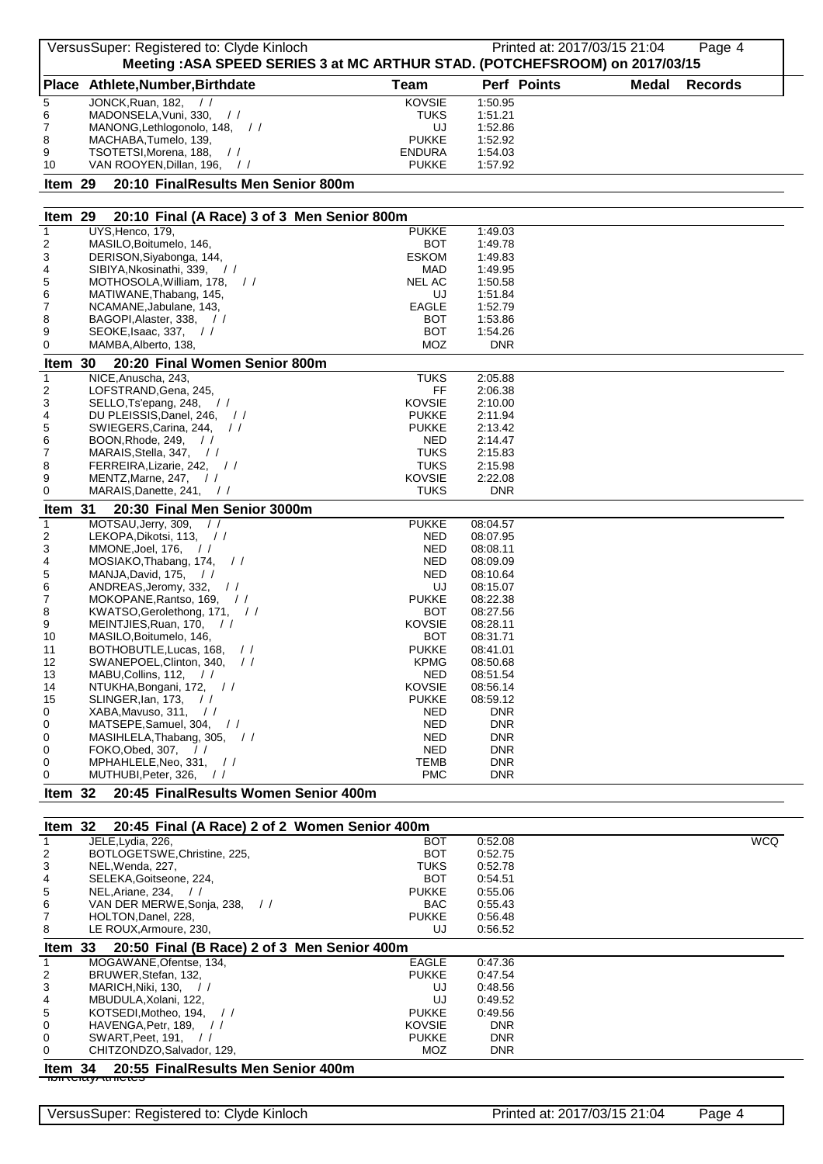|                         | VersusSuper: Registered to: Clyde Kinloch                                                                        |                               | Printed at: 2017/03/15 21:04 |              | Page 4         |
|-------------------------|------------------------------------------------------------------------------------------------------------------|-------------------------------|------------------------------|--------------|----------------|
|                         | Meeting : ASA SPEED SERIES 3 at MC ARTHUR STAD. (POTCHEFSROOM) on 2017/03/15<br>Place Athlete, Number, Birthdate | <b>Team</b>                   | Perf Points                  | <b>Medal</b> | <b>Records</b> |
| 5                       | JONCK, Ruan, 182,<br>$\frac{1}{2}$                                                                               | <b>KOVSIE</b>                 | 1:50.95                      |              |                |
| 6                       | MADONSELA, Vuni, 330,<br>$\frac{1}{2}$                                                                           | TUKS                          | 1:51.21                      |              |                |
| 7                       | MANONG, Lethlogonolo, 148, //                                                                                    | UJ                            | 1:52.86                      |              |                |
| 8<br>9                  | MACHABA, Tumelo, 139,<br>TSOTETSI, Morena, 188,<br>$\frac{1}{2}$                                                 | <b>PUKKE</b><br><b>ENDURA</b> | 1:52.92<br>1:54.03           |              |                |
| 10                      | VAN ROOYEN, Dillan, 196, //                                                                                      | <b>PUKKE</b>                  | 1:57.92                      |              |                |
| Item 29                 | 20:10 FinalResults Men Senior 800m                                                                               |                               |                              |              |                |
| Item 29                 | 20:10 Final (A Race) 3 of 3 Men Senior 800m                                                                      |                               |                              |              |                |
| $\mathbf{1}$            | UYS, Henco, 179,                                                                                                 | <b>PUKKE</b>                  | 1:49.03                      |              |                |
| 2<br>3                  | MASILO, Boitumelo, 146,<br>DERISON, Siyabonga, 144,                                                              | BOT<br><b>ESKOM</b>           | 1:49.78<br>1:49.83           |              |                |
| 4                       | SIBIYA, Nkosinathi, 339,<br>$\frac{1}{2}$                                                                        | MAD                           | 1:49.95                      |              |                |
| 5                       | MOTHOSOLA, William, 178, //                                                                                      | <b>NEL AC</b>                 | 1:50.58                      |              |                |
| 6<br>7                  | MATIWANE, Thabang, 145,<br>NCAMANE, Jabulane, 143,                                                               | UJ<br><b>EAGLE</b>            | 1:51.84<br>1:52.79           |              |                |
| 8                       | BAGOPI, Alaster, 338, //                                                                                         | <b>BOT</b>                    | 1:53.86                      |              |                |
| 9                       | SEOKE, Isaac, $337,$ //                                                                                          | <b>BOT</b>                    | 1:54.26                      |              |                |
| 0                       | MAMBA, Alberto, 138,                                                                                             | MOZ                           | <b>DNR</b>                   |              |                |
| Item 30<br>$\mathbf{1}$ | 20:20 Final Women Senior 800m<br>NICE, Anuscha, 243,                                                             | <b>TUKS</b>                   | 2:05.88                      |              |                |
| 2                       | LOFSTRAND, Gena, 245,                                                                                            | FF                            | 2:06.38                      |              |                |
| 3                       | SELLO, Ts'epang, 248, //                                                                                         | <b>KOVSIE</b>                 | 2:10.00                      |              |                |
| 4<br>5                  | DU PLEISSIS.Danel. 246.<br>$\frac{1}{2}$<br>SWIEGERS, Carina, 244,<br>$\frac{1}{2}$                              | <b>PUKKE</b><br><b>PUKKE</b>  | 2:11.94<br>2:13.42           |              |                |
| 6                       | BOON, Rhode, 249,<br>$\frac{1}{2}$                                                                               | <b>NED</b>                    | 2:14.47                      |              |                |
| 7                       | MARAIS, Stella, 347,<br>$\frac{1}{2}$                                                                            | <b>TUKS</b>                   | 2:15.83                      |              |                |
| 8<br>9                  | FERREIRA, Lizarie, 242, //<br>MENTZ, Marne, 247,<br>$\frac{1}{2}$                                                | <b>TUKS</b><br>KOVSIE         | 2:15.98<br>2:22.08           |              |                |
| 0                       | MARAIS, Danette, 241, //                                                                                         | <b>TUKS</b>                   | <b>DNR</b>                   |              |                |
| Item 31                 | 20:30 Final Men Senior 3000m                                                                                     |                               |                              |              |                |
| $\mathbf{1}$            | MOTSAU, Jerry, 309,<br>$\frac{1}{2}$                                                                             | <b>PUKKE</b>                  | 08:04.57                     |              |                |
| $\overline{2}$          | LEKOPA, Dikotsi, 113, //                                                                                         | NED                           | 08:07.95                     |              |                |
| 3<br>4                  | MMONE, Joel, 176,<br>$\frac{1}{2}$<br>MOSIAKO, Thabang, 174,<br>$\frac{1}{2}$                                    | <b>NED</b><br>NED             | 08:08.11<br>08:09.09         |              |                |
| 5                       | MANJA, David, 175,<br>$\frac{1}{2}$                                                                              | NED                           | 08:10.64                     |              |                |
| 6                       | ANDREAS, Jeromy, 332,<br>$\frac{1}{2}$                                                                           | UJ                            | 08:15.07                     |              |                |
| 7<br>8                  | MOKOPANE, Rantso, 169, //<br>KWATSO, Gerolethong, 171, //                                                        | <b>PUKKE</b><br><b>BOT</b>    | 08:22.38<br>08:27.56         |              |                |
| 9                       | MEINTJIES, Ruan, 170,<br>$\frac{1}{2}$                                                                           | KOVSIE                        | 08:28.11                     |              |                |
| 10                      | MASILO, Boitumelo, 146,                                                                                          | вот                           | 08:31.71                     |              |                |
| 11<br>12                | BOTHOBUTLE, Lucas, 168, //<br>SWANEPOEL, Clinton, 340,<br>$\frac{1}{2}$                                          | <b>PUKKE</b><br><b>KPMG</b>   | 08:41.01<br>08:50.68         |              |                |
| 13                      | MABU, Collins, 112, //                                                                                           | NED                           | 08:51.54                     |              |                |
| 14                      | NTUKHA, Bongani, 172, //                                                                                         | <b>KOVSIE</b>                 | 08:56.14                     |              |                |
| 15<br>0                 | SLINGER, Ian, 173,<br>$\frac{1}{2}$<br>XABA, Mavuso, 311, / /                                                    | <b>PUKKE</b><br>NED           | 08:59.12<br><b>DNR</b>       |              |                |
| 0                       | MATSEPE, Samuel, 304, //                                                                                         | NED                           | <b>DNR</b>                   |              |                |
| 0                       | MASIHLELA, Thabang, 305, //                                                                                      | NED                           | <b>DNR</b>                   |              |                |
| 0<br>0                  | FOKO, Obed, 307,<br>$\frac{1}{2}$<br>MPHAHLELE, Neo, 331, //                                                     | NED<br>TEMB                   | <b>DNR</b><br><b>DNR</b>     |              |                |
| 0                       | MUTHUBI, Peter, 326,<br>$\frac{1}{2}$                                                                            | <b>PMC</b>                    | <b>DNR</b>                   |              |                |
| Item $32$               | 20:45 FinalResults Women Senior 400m                                                                             |                               |                              |              |                |
| Item 32                 | 20:45 Final (A Race) 2 of 2 Women Senior 400m                                                                    |                               |                              |              |                |
| $\mathbf{1}$            | JELE, Lydia, 226,                                                                                                | BOT                           | 0:52.08                      |              | <b>WCQ</b>     |
| 2<br>3                  | BOTLOGETSWE, Christine, 225,<br>NEL, Wenda, 227,                                                                 | BOT<br>TUKS                   | 0:52.75<br>0:52.78           |              |                |
| 4                       | SELEKA, Goitseone, 224,                                                                                          | BOT                           | 0:54.51                      |              |                |
| 5<br>6                  | NEL, Ariane, 234, $\frac{1}{1}$<br>VAN DER MERWE, Sonja, 238,<br>$\frac{1}{2}$                                   | <b>PUKKE</b><br><b>BAC</b>    | 0:55.06<br>0:55.43           |              |                |
| 7                       | HOLTON, Danel, 228,                                                                                              | <b>PUKKE</b>                  | 0:56.48                      |              |                |
| 8                       | LE ROUX, Armoure, 230,                                                                                           | UJ                            | 0:56.52                      |              |                |
| Item 33                 | 20:50 Final (B Race) 2 of 3 Men Senior 400m                                                                      |                               |                              |              |                |
| $\mathbf{1}$            | MOGAWANE, Ofentse, 134,                                                                                          | <b>EAGLE</b>                  | 0:47.36                      |              |                |
| 2<br>3                  | BRUWER, Stefan, 132,<br>MARICH, Niki, 130,<br>$\frac{1}{2}$                                                      | <b>PUKKE</b><br>UJ            | 0:47.54<br>0:48.56           |              |                |
| 4                       | MBUDULA, Xolani, 122,                                                                                            | UJ                            | 0:49.52                      |              |                |
| 5                       | KOTSEDI, Motheo, 194, $\frac{1}{10}$                                                                             | <b>PUKKE</b>                  | 0:49.56                      |              |                |
| 0<br>0                  | HAVENGA, Petr, 189, $\frac{1}{1}$<br>SWART, Peet, 191, //                                                        | <b>KOVSIE</b><br><b>PUKKE</b> | <b>DNR</b><br><b>DNR</b>     |              |                |
| 0                       | CHITZONDZO, Salvador, 129,                                                                                       | MOZ                           | <b>DNR</b>                   |              |                |
| Item 34                 | 20:55 FinalResults Men Senior 400m                                                                               |                               |                              |              |                |
|                         | <del>univerayAurictes</del>                                                                                      |                               |                              |              |                |